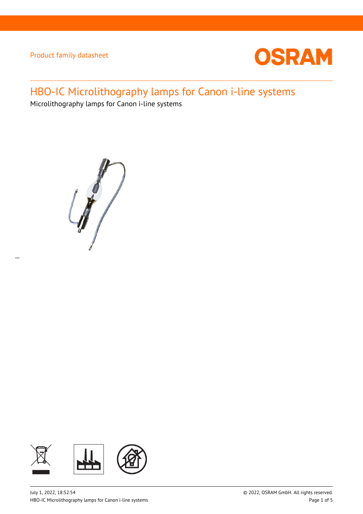

# HBO-IC Microlithography lamps for Canon i-line systems

Microlithography lamps for Canon i-line systems



 $\overline{a}$ 

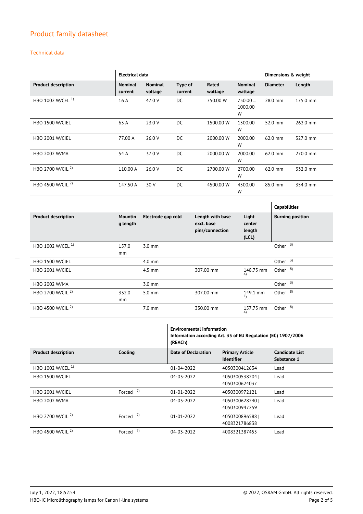### Technical data

|                              | <b>Electrical data</b>    |                           |                    | Dimensions & weight |                           |                 |          |
|------------------------------|---------------------------|---------------------------|--------------------|---------------------|---------------------------|-----------------|----------|
| <b>Product description</b>   | <b>Nominal</b><br>current | <b>Nominal</b><br>voltage | Type of<br>current | Rated<br>wattage    | <b>Nominal</b><br>wattage | <b>Diameter</b> | Length   |
| HBO 1002 W/CEL <sup>1)</sup> | 16 A                      | 47.0 V                    | DC.                | 750,00 W            | 750.00<br>1000.00<br>W    | 28.0 mm         | 175.0 mm |
| <b>HBO 1500 W/CIEL</b>       | 65 A                      | 23.0 V                    | DC                 | 1500.00 W           | 1500.00<br>W              | 52.0 mm         | 262.0 mm |
| HBO 2001 W/CIEL              | 77.00 A                   | 26.0 V                    | DC.                | 2000.00 W           | 2000.00<br>W              | 62.0 mm         | 327.0 mm |
| <b>HBO 2002 W/MA</b>         | 54 A                      | 37.0 V                    | DC                 | 2000.00 W           | 2000.00<br>W              | 62.0 mm         | 270.0 mm |
| HBO 2700 W/CIL <sup>2)</sup> | 110.00 A                  | 26.0 V                    | DC                 | 2700.00 W           | 2700.00<br>W              | 62.0 mm         | 332.0 mm |
| HBO 4500 W/CIL <sup>2)</sup> | 147.50 A                  | 30 V                      | DC                 | 4500.00 W           | 4500.00<br>W              | 85.0 mm         | 354.0 mm |

|                              |                            |                    |                                                   |                                   | <b>Capabilities</b>     |
|------------------------------|----------------------------|--------------------|---------------------------------------------------|-----------------------------------|-------------------------|
| <b>Product description</b>   | <b>Mountin</b><br>g length | Electrode gap cold | Length with base<br>excl. base<br>pins/connection | Light<br>center<br>length<br>(CL) | <b>Burning position</b> |
| HBO 1002 W/CEL <sup>1)</sup> | 157.0<br>mm                | $3.0 \text{ mm}$   |                                                   |                                   | 3)<br>Other             |
| <b>HBO 1500 W/CIEL</b>       |                            | $4.0 \text{ mm}$   |                                                   |                                   | Other $3)$              |
| <b>HBO 2001 W/CIEL</b>       |                            | $4.5$ mm           | 307.00 mm                                         | 148.75 mm<br>4)                   | Other <sup>8)</sup>     |
| HBO 2002 W/MA                |                            | $3.0 \text{ mm}$   |                                                   |                                   | Other $3)$              |
| HBO 2700 W/CIL <sup>2)</sup> | 332.0<br>mm                | $5.0 \text{ mm}$   | 307.00 mm                                         | 149.1 mm<br>4)                    | Other $8$ )             |
| HBO 4500 W/CIL <sup>2)</sup> |                            | $7.0 \text{ mm}$   | 330.00 mm                                         | 157.75 mm<br>4)                   | Other <sup>8)</sup>     |

|                              |            | <b>Environmental information</b><br>Information according Art. 33 of EU Regulation (EC) 1907/2006<br>(REACh) |                                             |                                      |
|------------------------------|------------|--------------------------------------------------------------------------------------------------------------|---------------------------------------------|--------------------------------------|
| <b>Product description</b>   | Cooling    | Date of Declaration                                                                                          | <b>Primary Article</b><br><b>Identifier</b> | <b>Candidate List</b><br>Substance 1 |
| HBO 1002 W/CEL <sup>1)</sup> |            | $01 - 04 - 2022$                                                                                             | 4050300412634                               | Lead                                 |
| <b>HBO 1500 W/CIEL</b>       |            | 04-03-2022                                                                                                   | 4050300538204<br>4050300624037              | Lead                                 |
| HBO 2001 W/CIEL              | Forced $7$ | 01-01-2022                                                                                                   | 4050300972121                               | Lead                                 |
| <b>HBO 2002 W/MA</b>         |            | 04-03-2022                                                                                                   | 40503006282401<br>4050300947259             | Lead                                 |
| HBO 2700 W/CIL <sup>2)</sup> | Forced $7$ | $01 - 01 - 2022$                                                                                             | 4050300896588<br>4008321786838              | Lead                                 |
| HBO 4500 W/CIL <sup>2)</sup> | Forced $7$ | 04-03-2022                                                                                                   | 4008321387455                               | Lead                                 |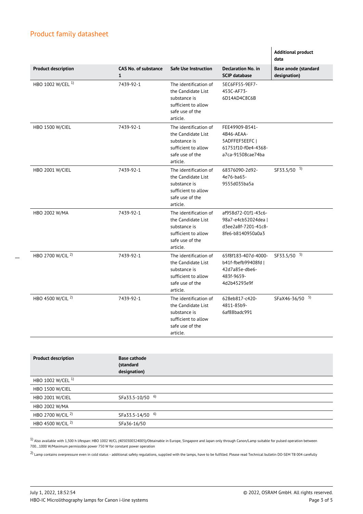$\overline{a}$ 

|                              |                                             |                                                                                                                   |                                                                                            | <b>Additional product</b><br>data    |
|------------------------------|---------------------------------------------|-------------------------------------------------------------------------------------------------------------------|--------------------------------------------------------------------------------------------|--------------------------------------|
| <b>Product description</b>   | <b>CAS No. of substance</b><br>$\mathbf{1}$ | <b>Safe Use Instruction</b>                                                                                       | <b>Declaration No. in</b><br><b>SCIP database</b>                                          | Base anode (standard<br>designation) |
| HBO 1002 W/CEL <sup>1)</sup> | 7439-92-1                                   | The identification of<br>the Candidate List<br>substance is<br>sufficient to allow<br>safe use of the<br>article. | 5EC6FF55-9EF7-<br>453C-AF73-<br>6D14AD4C8C6B                                               |                                      |
| <b>HBO 1500 W/CIEL</b>       | 7439-92-1                                   | The identification of<br>the Candidate List<br>substance is<br>sufficient to allow<br>safe use of the<br>article. | FEE49909-B541-<br>4B46-AEAA-<br>5ADFFEF5EEFC  <br>61751f10-f0e4-4368-<br>a7ca-91508cae74ba |                                      |
| <b>HBO 2001 W/CIEL</b>       | 7439-92-1                                   | The identification of<br>the Candidate List<br>substance is<br>sufficient to allow<br>safe use of the<br>article. | 68376090-2d92-<br>4e76-ba65-<br>9555d035ba5a                                               | SF33.5/50 5)                         |
| HBO 2002 W/MA                | 7439-92-1                                   | The identification of<br>the Candidate List<br>substance is<br>sufficient to allow<br>safe use of the<br>article. | af958d72-01f1-43c6-<br>98a7-e4cb52024dea  <br>d3ee2a8f-7201-41c8-<br>8fe6-b8140950a0a3     |                                      |
| HBO 2700 W/CIL <sup>2)</sup> | 7439-92-1                                   | The identification of<br>the Candidate List<br>substance is<br>sufficient to allow<br>safe use of the<br>article. | 65f8f183-407d-4000-<br>b41f-fbefb99408fd I<br>42d7a85e-dbe6-<br>483f-9659-<br>4d2b45293e9f | SF33.5/50 5)                         |
| HBO 4500 W/CIL <sup>2)</sup> | 7439-92-1                                   | The identification of<br>the Candidate List<br>substance is<br>sufficient to allow<br>safe use of the<br>article. | 628eb817-c420-<br>4811-85b9-<br>6af88badc991                                               | SFaX46-36/50 5)                      |

| <b>Product description</b>   | <b>Base cathode</b><br>(standard<br>designation) |
|------------------------------|--------------------------------------------------|
| HBO 1002 W/CEL <sup>1)</sup> |                                                  |
| <b>HBO 1500 W/CIEL</b>       |                                                  |
| <b>HBO 2001 W/CIEL</b>       | SFa33.5-10/50 6)                                 |
| HBO 2002 W/MA                |                                                  |
| HBO 2700 W/CIL <sup>2)</sup> | SFa33.5-14/50 6)                                 |
| HBO 4500 W/CIL <sup>2)</sup> | SFa36-16/50                                      |

 $1)$  Also available with 1,500 h lifespan: HBO 1002 W/CL (4050300324005)/Obtainable in Europe, Singapore and Japan only through Canon/Lamp suitable for pulsed operation between 700…1000 W/Maximum permissible power 750 W for constant power operation

 $2)$  Lamp contains overpressure even in cold status - additional safety regulations, supplied with the lamps, have to be fulfilled. Please read Technical bulletin DO-SEM TB 004 carefully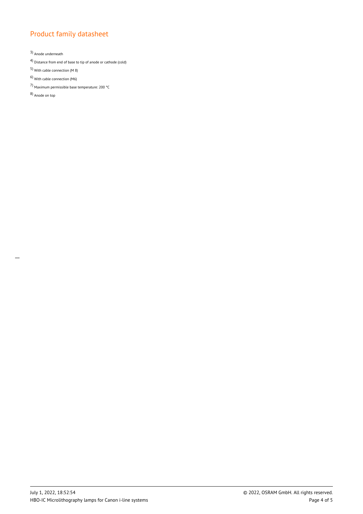3) Anode underneath

4) Distance from end of base to tip of anode or cathode (cold)

- 5) With cable connection (M 8)
- 6) With cable connection (M6)
- 7) Maximum permissible base temperature: 200 °C

8) Anode on top

 $\overline{a}$